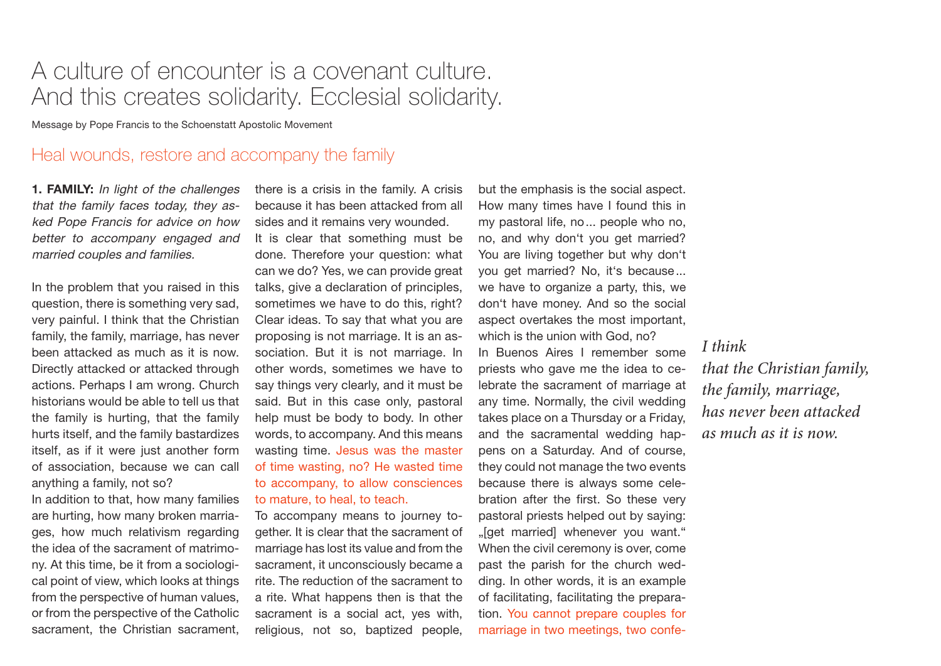# A culture of encounter is a covenant culture. And this creates solidarity. Ecclesial solidarity.

Message by Pope Francis to the Schoenstatt Apostolic Movement

# Heal wounds, restore and accompany the family

**1. FAMILY:** In light of the challenges that the family faces today, they asked Pope Francis for advice on how better to accompany engaged and married couples and families.

In the problem that you raised in this question, there is something very sad, very painful. I think that the Christian family, the family, marriage, has never been attacked as much as it is now. Directly attacked or attacked through actions. Perhaps I am wrong. Church historians would be able to tell us that the family is hurting, that the family hurts itself, and the family bastardizes itself, as if it were just another form of association, because we can call anything a family, not so?

In addition to that, how many families are hurting, how many broken marriages, how much relativism regarding the idea of the sacrament of matrimony. At this time, be it from a sociological point of view, which looks at things from the perspective of human values, or from the perspective of the Catholic sacrament, the Christian sacrament,

there is a crisis in the family. A crisis because it has been attacked from all sides and it remains very wounded. It is clear that something must be done. Therefore your question: what can we do? Yes, we can provide great talks, give a declaration of principles, sometimes we have to do this, right? Clear ideas. To say that what you are proposing is not marriage. It is an association. But it is not marriage. In other words, sometimes we have to say things very clearly, and it must be said. But in this case only, pastoral help must be body to body. In other words, to accompany. And this means wasting time. Jesus was the master of time wasting, no? He wasted time to accompany, to allow consciences to mature, to heal, to teach.

To accompany means to journey together. It is clear that the sacrament of marriage has lost its value and from the sacrament, it unconsciously became a rite. The reduction of the sacrament to a rite. What happens then is that the sacrament is a social act, yes with, religious, not so, baptized people,

but the emphasis is the social aspect. How many times have I found this in my pastoral life, no... people who no, no, and why don't you get married? You are living together but why don't you get married? No, it's because... we have to organize a party, this, we don't have money. And so the social aspect overtakes the most important, which is the union with God, no?

In Buenos Aires I remember some priests who gave me the idea to celebrate the sacrament of marriage at any time. Normally, the civil wedding takes place on a Thursday or a Friday, and the sacramental wedding happens on a Saturday. And of course, they could not manage the two events because there is always some celebration after the first. So these very pastoral priests helped out by saying: "[get married] whenever you want." When the civil ceremony is over, come past the parish for the church wedding. In other words, it is an example of facilitating, facilitating the preparation. You cannot prepare couples for marriage in two meetings, two confe-

*I think*

*that the Christian family, the family, marriage, has never been attacked as much as it is now.*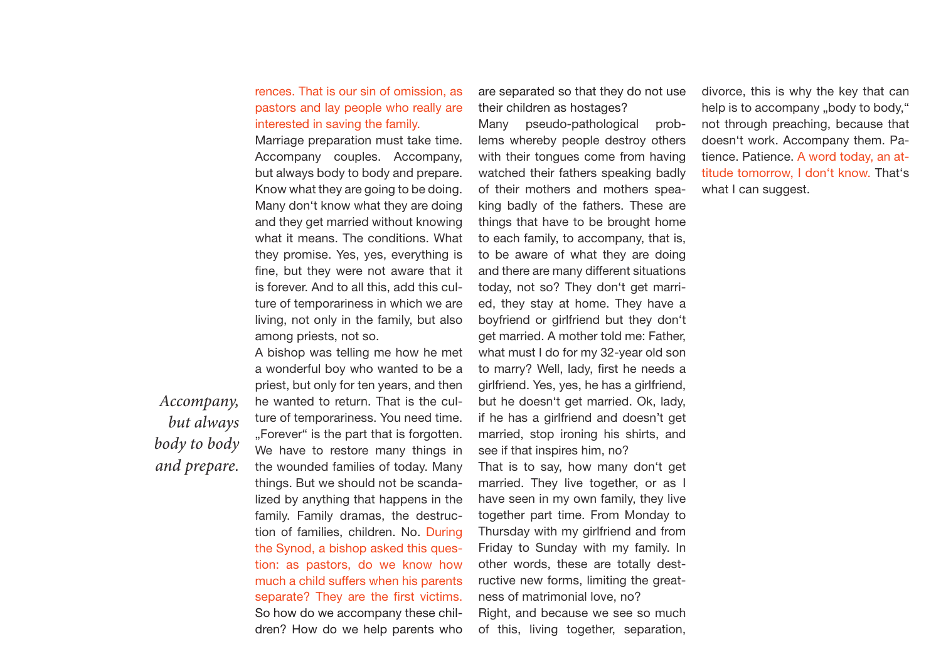#### rences. That is our sin of omission, as pastors and lay people who really are interested in saving the family.

Marriage preparation must take time. Accompany couples. Accompany, but always body to body and prepare. Know what they are going to be doing. Many don't know what they are doing and they get married without knowing what it means. The conditions. What they promise. Yes, yes, everything is fine, but they were not aware that it is forever. And to all this, add this culture of temporariness in which we are living, not only in the family, but also among priests, not so.

A bishop was telling me how he met a wonderful boy who wanted to be a priest, but only for ten years, and then he wanted to return. That is the culture of temporariness. You need time. "Forever" is the part that is forgotten. We have to restore many things in the wounded families of today. Many things. But we should not be scandalized by anything that happens in the family. Family dramas, the destruction of families, children. No. During the Synod, a bishop asked this question: as pastors, do we know how much a child suffers when his parents separate? They are the first victims. So how do we accompany these children? How do we help parents who

are separated so that they do not use their children as hostages?

Many pseudo-pathological problems whereby people destroy others with their tongues come from having watched their fathers speaking badly of their mothers and mothers speaking badly of the fathers. These are things that have to be brought home to each family, to accompany, that is, to be aware of what they are doing and there are many different situations today, not so? They don't get married, they stay at home. They have a boyfriend or girlfriend but they don't get married. A mother told me: Father, what must I do for my 32-year old son to marry? Well, lady, first he needs a girlfriend. Yes, yes, he has a girlfriend, but he doesn't get married. Ok, lady, if he has a girlfriend and doesn't get married, stop ironing his shirts, and see if that inspires him, no?

That is to say, how many don't get married. They live together, or as I have seen in my own family, they live together part time. From Monday to Thursday with my girlfriend and from Friday to Sunday with my family. In other words, these are totally destructive new forms, limiting the greatness of matrimonial love, no? Right, and because we see so much of this, living together, separation,

divorce, this is why the key that can help is to accompany "body to body," not through preaching, because that doesn't work. Accompany them. Patience. Patience. A word today, an attitude tomorrow, I don't know. That's what I can suggest.

*Accompany, but always body to body and prepare.*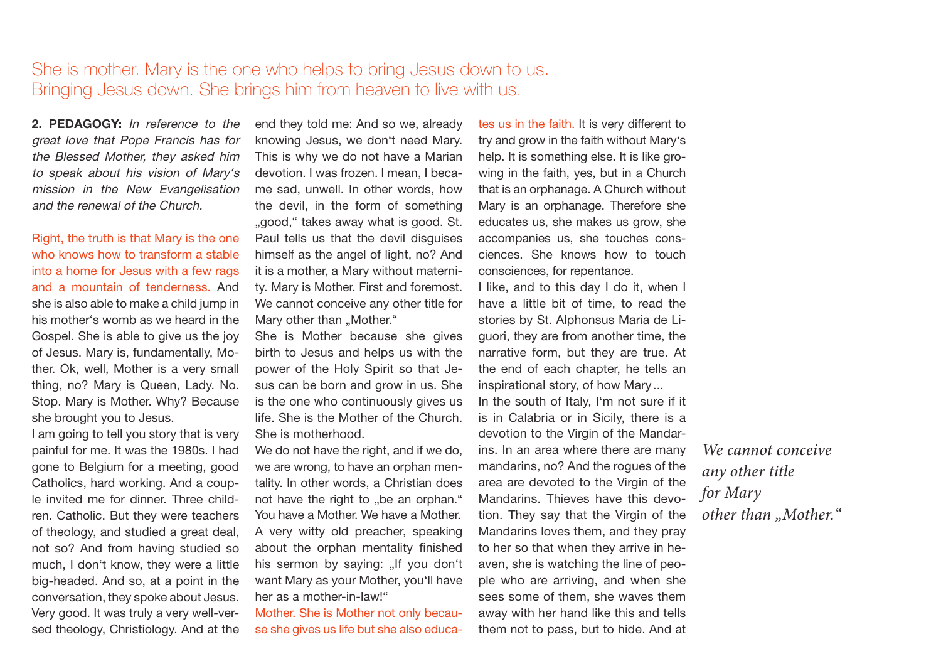# She is mother. Mary is the one who helps to bring Jesus down to us. Bringing Jesus down. She brings him from heaven to live with us.

**2. PEDAGOGY:** In reference to the great love that Pope Francis has for the Blessed Mother, they asked him to speak about his vision of Mary's mission in the New Evangelisation and the renewal of the Church.

Right, the truth is that Mary is the one who knows how to transform a stable into a home for Jesus with a few rags and a mountain of tenderness. And she is also able to make a child jump in his mother's womb as we heard in the Gospel. She is able to give us the joy of Jesus. Mary is, fundamentally, Mother. Ok, well, Mother is a very small thing, no? Mary is Queen, Lady. No. Stop. Mary is Mother. Why? Because she brought you to Jesus.

I am going to tell you story that is very painful for me. It was the 1980s. I had gone to Belgium for a meeting, good Catholics, hard working. And a couple invited me for dinner. Three children. Catholic. But they were teachers of theology, and studied a great deal, not so? And from having studied so much, I don't know, they were a little big-headed. And so, at a point in the conversation, they spoke about Jesus. Very good. It was truly a very well-versed theology, Christiology. And at the end they told me: And so we, already knowing Jesus, we don't need Mary. This is why we do not have a Marian devotion. I was frozen. I mean, I became sad, unwell. In other words, how the devil, in the form of something "good," takes away what is good. St. Paul tells us that the devil disguises himself as the angel of light, no? And it is a mother, a Mary without maternity. Mary is Mother. First and foremost. We cannot conceive any other title for Mary other than "Mother."

She is Mother because she gives birth to Jesus and helps us with the power of the Holy Spirit so that Jesus can be born and grow in us. She is the one who continuously gives us life. She is the Mother of the Church. She is motherhood.

We do not have the right, and if we do, we are wrong, to have an orphan mentality. In other words, a Christian does not have the right to "be an orphan." You have a Mother. We have a Mother. A very witty old preacher, speaking about the orphan mentality finished his sermon by saying: "If you don't want Mary as your Mother, you'll have her as a mother-in-law!"

Mother. She is Mother not only because she gives us life but she also educa-

tes us in the faith. It is very different to try and grow in the faith without Mary's help. It is something else. It is like growing in the faith, yes, but in a Church that is an orphanage. A Church without Mary is an orphanage. Therefore she educates us, she makes us grow, she accompanies us, she touches consciences. She knows how to touch consciences, for repentance.

I like, and to this day I do it, when I have a little bit of time, to read the stories by St. Alphonsus Maria de Liguori, they are from another time, the narrative form, but they are true. At the end of each chapter, he tells an inspirational story, of how Mary ...

In the south of Italy, I'm not sure if it is in Calabria or in Sicily, there is a devotion to the Virgin of the Mandarins. In an area where there are many mandarins, no? And the rogues of the area are devoted to the Virgin of the Mandarins. Thieves have this devotion. They say that the Virgin of the Mandarins loves them, and they pray to her so that when they arrive in heaven, she is watching the line of people who are arriving, and when she sees some of them, she waves them away with her hand like this and tells them not to pass, but to hide. And at

*We cannot conceive any other title for Mary other than "Mother."*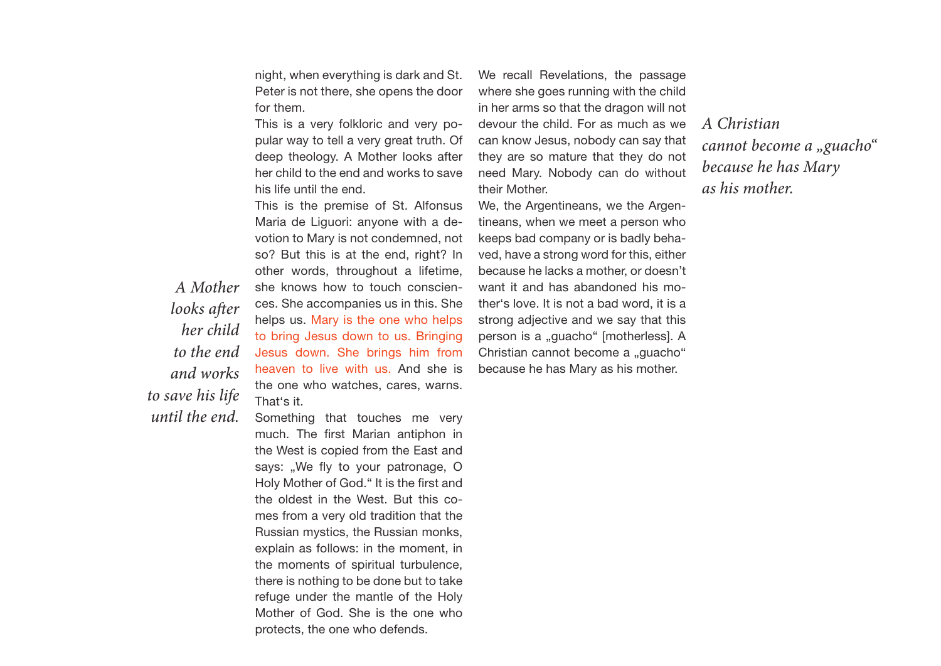night, when everything is dark and St. Peter is not there, she opens the door for them.

This is a very folkloric and very popular way to tell a very great truth. Of deep theology. A Mother looks after her child to the end and works to save his life until the end.

This is the premise of St. Alfonsus Maria de Liguori: anyone with a devotion to Mary is not condemned, not so? But this is at the end, right? In other words, throughout a lifetime, she knows how to touch consciences. She accompanies us in this. She helps us. Mary is the one who helps to bring Jesus down to us. Bringing Jesus down. She brings him from heaven to live with us. And she is the one who watches, cares, warns. That's it.

*A Mother looks after her child to the end and works to save his life until the end.*

Something that touches me very much. The first Marian antiphon in the West is copied from the East and says: "We fly to your patronage, O Holy Mother of God." It is the first and the oldest in the West. But this comes from a very old tradition that the Russian mystics, the Russian monks, explain as follows: in the moment, in the moments of spiritual turbulence, there is nothing to be done but to take refuge under the mantle of the Holy Mother of God. She is the one who protects, the one who defends.

We recall Revelations, the passage where she goes running with the child in her arms so that the dragon will not devour the child. For as much as we can know Jesus, nobody can say that they are so mature that they do not need Mary. Nobody can do without their Mother.

We, the Argentineans, we the Argentineans, when we meet a person who keeps bad company or is badly behaved, have a strong word for this, either because he lacks a mother, or doesn't want it and has abandoned his mother's love. It is not a bad word, it is a strong adjective and we say that this person is a "guacho" [motherless]. A Christian cannot become a "guacho" because he has Mary as his mother.

*A Christian cannot become a "guacho" because he has Mary as his mother.*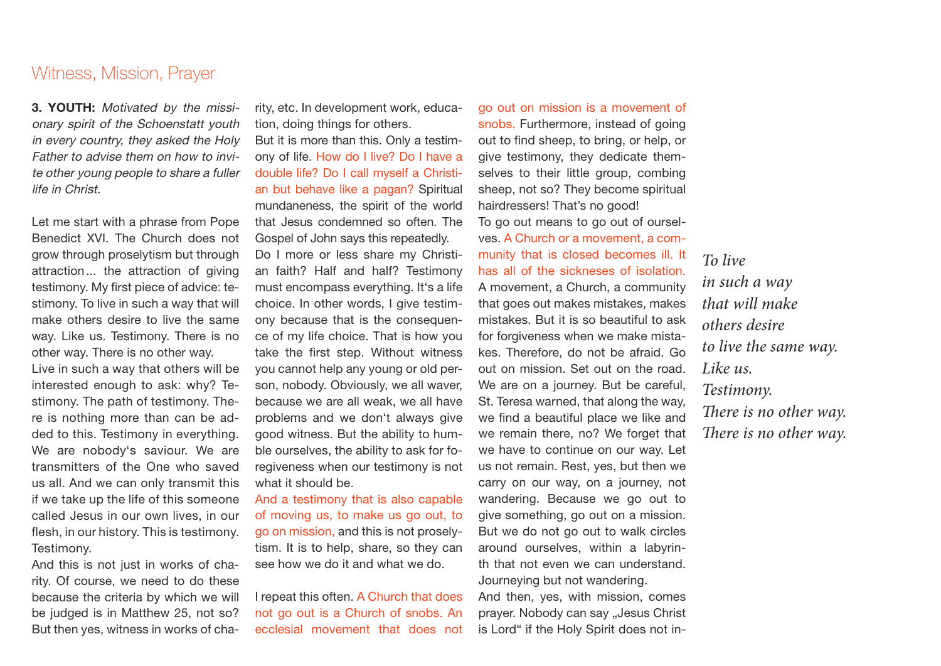#### Witness, Mission, Prayer

**3. YOUTH:** Motivated by the missionary spirit of the Schoenstatt youth in every country, they asked the Holy Father to advise them on how to invite other young people to share a fuller life in Christ.

Let me start with a phrase from Pope Benedict XVI. The Church does not grow through proselytism but through attraction... the attraction of giving testimony. My first piece of advice: testimony. To live in such a way that will make others desire to live the same way. Like us. Testimony. There is no other way. There is no other way.

Live in such a way that others will be interested enough to ask: why? Testimony. The path of testimony. There is nothing more than can be added to this. Testimony in everything. We are nobody's saviour. We are transmitters of the One who saved us all. And we can only transmit this if we take up the life of this someone called Jesus in our own lives, in our flesh, in our history. This is testimony. Testimony.

And this is not just in works of charity. Of course, we need to do these because the criteria by which we will be judged is in Matthew 25, not so? But then yes, witness in works of cha-

rity, etc. In development work, education, doing things for others.

But it is more than this. Only a testimony of life. How do I live? Do I have a double life? Do I call myself a Christian but behave like a pagan? Spiritual mundaneness, the spirit of the world that Jesus condemned so often. The Gospel of John says this repeatedly. Do I more or less share my Christian faith? Half and half? Testimony must encompass everything. It's a life choice. In other words, I give testimony because that is the consequence of my life choice. That is how you take the first step. Without witness you cannot help any young or old person, nobody. Obviously, we all waver, because we are all weak, we all have problems and we don't always give good witness. But the ability to humble ourselves, the ability to ask for foregiveness when our testimony is not what it should be.

And a testimony that is also capable of moving us, to make us go out, to go on mission, and this is not proselytism. It is to help, share, so they can see how we do it and what we do.

I repeat this often. A Church that does not go out is a Church of snobs. An ecclesial movement that does not go out on mission is a movement of snobs. Furthermore, instead of going out to find sheep, to bring, or help, or give testimony, they dedicate themselves to their little group, combing sheep, not so? They become spiritual hairdressers! That's no good! To go out means to go out of ourselves. A Church or a movement, a community that is closed becomes ill. It has all of the sickneses of isolation. A movement, a Church, a community that goes out makes mistakes, makes mistakes. But it is so beautiful to ask for forgiveness when we make mistakes. Therefore, do not be afraid. Go out on mission. Set out on the road. We are on a journey. But be careful, St. Teresa warned, that along the way, we find a beautiful place we like and we remain there, no? We forget that we have to continue on our way. Let us not remain. Rest, yes, but then we carry on our way, on a journey, not wandering. Because we go out to give something, go out on a mission. But we do not go out to walk circles around ourselves, within a labyrinth that not even we can understand. Journeying but not wandering. And then, yes, with mission, comes prayer. Nobody can say "Jesus Christ is Lord" if the Holy Spirit does not in-

*To live in such a way that will make others desire to live the same way. Like us. Testimony. There is no other way. There is no other way.*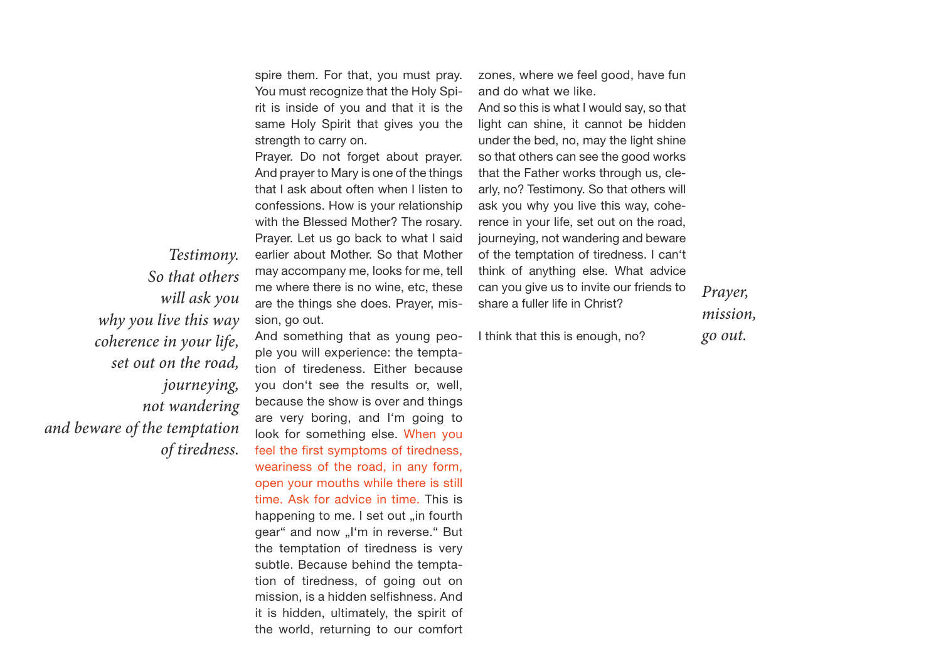spire them. For that, you must pray. You must recognize that the Holy Spirit is inside of you and that it is the same Holy Spirit that gives you the strength to carry on.

Prayer. Do not forget about prayer. And prayer to Mary is one of the things that I ask about often when I listen to confessions. How is your relationship with the Blessed Mother? The rosary. Prayer. Let us go back to what I said earlier about Mother. So that Mother may accompany me, looks for me, tell me where there is no wine, etc, these are the things she does. Prayer, mission, go out.

*Testimony. So that others will ask you why you live this way coherence in your life, set out on the road, journeying, not wandering and beware of the temptation of tiredness.*

And something that as young people you will experience: the temptation of tiredeness. Either because you don't see the results or, well, because the show is over and things are very boring, and I'm going to look for something else. When you feel the first symptoms of tiredness, weariness of the road, in any form, open your mouths while there is still time. Ask for advice in time. This is happening to me. I set out "in fourth gear" and now "I'm in reverse." But the temptation of tiredness is very subtle. Because behind the temptation of tiredness, of going out on mission, is a hidden selfishness. And it is hidden, ultimately, the spirit of the world, returning to our comfort zones, where we feel good, have fun and do what we like.

And so this is what I would say, so that light can shine, it cannot be hidden under the bed, no, may the light shine so that others can see the good works that the Father works through us, clearly, no? Testimony. So that others will ask you why you live this way, coherence in your life, set out on the road, journeying, not wandering and beware of the temptation of tiredness. I can't think of anything else. What advice can you give us to invite our friends to share a fuller life in Christ?

I think that this is enough, no?

*Prayer, mission, go out.*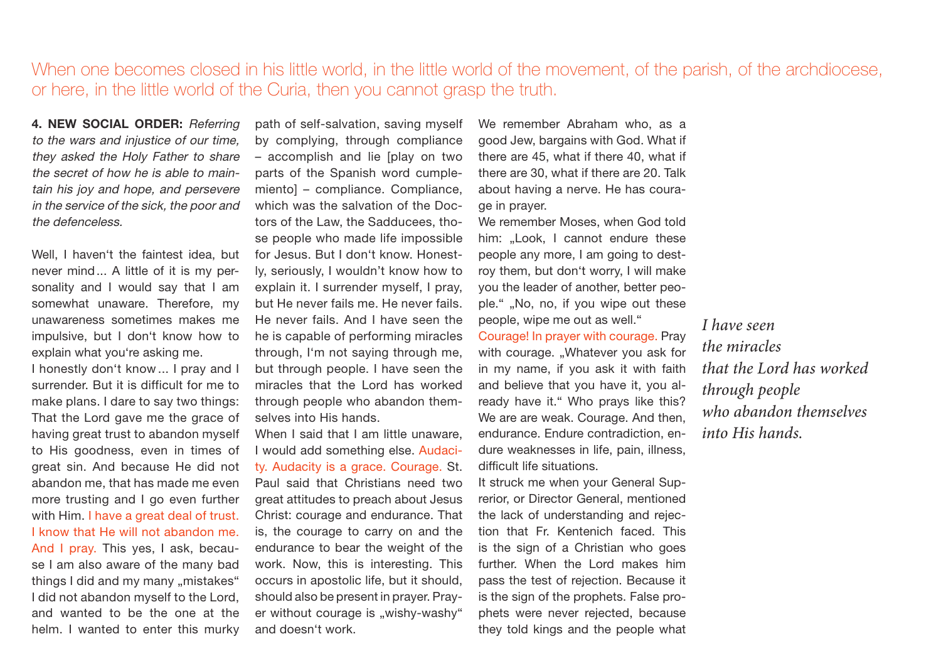# When one becomes closed in his little world, in the little world of the movement, of the parish, of the archdiocese, or here, in the little world of the Curia, then you cannot grasp the truth.

**4. NEW SOCIAL ORDER:** Referring to the wars and injustice of our time, they asked the Holy Father to share the secret of how he is able to maintain his joy and hope, and persevere in the service of the sick, the poor and the defenceless.

Well, I haven't the faintest idea, but never mind... A little of it is my personality and I would say that I am somewhat unaware. Therefore, my unawareness sometimes makes me impulsive, but I don't know how to explain what you're asking me.

I honestly don't know ... I pray and I surrender. But it is difficult for me to make plans. I dare to say two things: That the Lord gave me the grace of having great trust to abandon myself to His goodness, even in times of great sin. And because He did not abandon me, that has made me even more trusting and I go even further with Him. I have a great deal of trust. I know that He will not abandon me. And I pray. This yes, I ask, because I am also aware of the many bad things I did and my many "mistakes" I did not abandon myself to the Lord, and wanted to be the one at the helm. I wanted to enter this murky

path of self-salvation, saving myself by complying, through compliance – accomplish and lie [play on two parts of the Spanish word cumplemiento] – compliance. Compliance, which was the salvation of the Doctors of the Law, the Sadducees, those people who made life impossible for Jesus. But I don't know. Honestly, seriously, I wouldn't know how to explain it. I surrender myself, I pray, but He never fails me. He never fails. He never fails. And I have seen the he is capable of performing miracles through, I'm not saying through me, but through people. I have seen the miracles that the Lord has worked through people who abandon themselves into His hands.

When I said that I am little unaware. I would add something else. Audacity. Audacity is a grace. Courage. St. Paul said that Christians need two great attitudes to preach about Jesus Christ: courage and endurance. That is, the courage to carry on and the endurance to bear the weight of the work. Now, this is interesting. This occurs in apostolic life, but it should, should also be present in prayer. Prayer without courage is "wishy-washy" and doesn't work.

We remember Abraham who, as a good Jew, bargains with God. What if there are 45, what if there 40, what if there are 30, what if there are 20. Talk about having a nerve. He has courage in prayer.

We remember Moses, when God told him: ..Look, I cannot endure these people any more, I am going to destroy them, but don't worry, I will make you the leader of another, better people." "No, no, if you wipe out these people, wipe me out as well."

Courage! In prayer with courage. Pray with courage. "Whatever you ask for in my name, if you ask it with faith and believe that you have it, you already have it." Who prays like this? We are are weak. Courage. And then, endurance. Endure contradiction, endure weaknesses in life, pain, illness, difficult life situations.

It struck me when your General Suprerior, or Director General, mentioned the lack of understanding and rejection that Fr. Kentenich faced. This is the sign of a Christian who goes further. When the Lord makes him pass the test of rejection. Because it is the sign of the prophets. False prophets were never rejected, because they told kings and the people what *I have seen the miracles that the Lord has worked through people who abandon themselves into His hands.*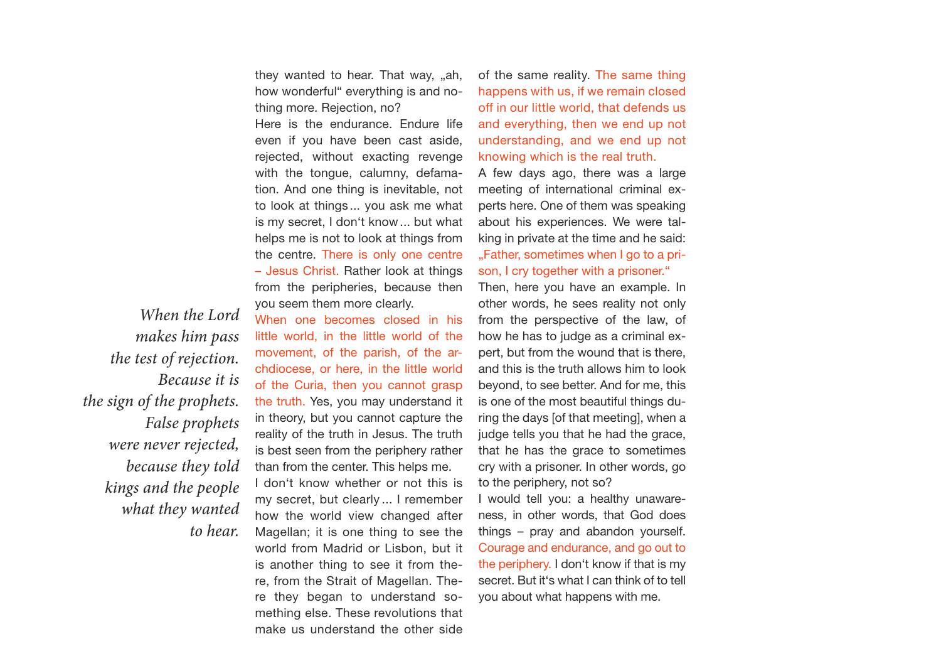they wanted to hear. That way, "ah, how wonderful" everything is and nothing more. Rejection, no?

Here is the endurance. Endure life even if you have been cast aside, rejected, without exacting revenge with the tongue, calumny, defamation. And one thing is inevitable, not to look at things ... you ask me what is my secret, I don't know... but what helps me is not to look at things from the centre. There is only one centre – Jesus Christ. Rather look at things from the peripheries, because then you seem them more clearly.

*When the Lord makes him pass the test of rejection. Because it is the sign of the prophets. False prophets were never rejected, because they told kings and the people what they wanted to hear.* 

When one becomes closed in his little world, in the little world of the movement, of the parish, of the archdiocese, or here, in the little world of the Curia, then you cannot grasp the truth. Yes, you may understand it in theory, but you cannot capture the reality of the truth in Jesus. The truth is best seen from the periphery rather than from the center. This helps me. I don't know whether or not this is my secret, but clearly ... I remember how the world view changed after Magellan; it is one thing to see the world from Madrid or Lisbon, but it is another thing to see it from there, from the Strait of Magellan. There they began to understand something else. These revolutions that make us understand the other side of the same reality. The same thing happens with us, if we remain closed off in our little world, that defends us and everything, then we end up not understanding, and we end up not knowing which is the real truth.

A few days ago, there was a large meeting of international criminal experts here. One of them was speaking about his experiences. We were talking in private at the time and he said: . Father, sometimes when I go to a prison, I cry together with a prisoner."

Then, here you have an example. In other words, he sees reality not only from the perspective of the law, of how he has to judge as a criminal expert, but from the wound that is there, and this is the truth allows him to look beyond, to see better. And for me, this is one of the most beautiful things during the days [of that meeting], when a judge tells you that he had the grace, that he has the grace to sometimes cry with a prisoner. In other words, go to the periphery, not so?

I would tell you: a healthy unawareness, in other words, that God does things – pray and abandon yourself. Courage and endurance, and go out to the periphery. I don't know if that is my secret. But it's what I can think of to tell you about what happens with me.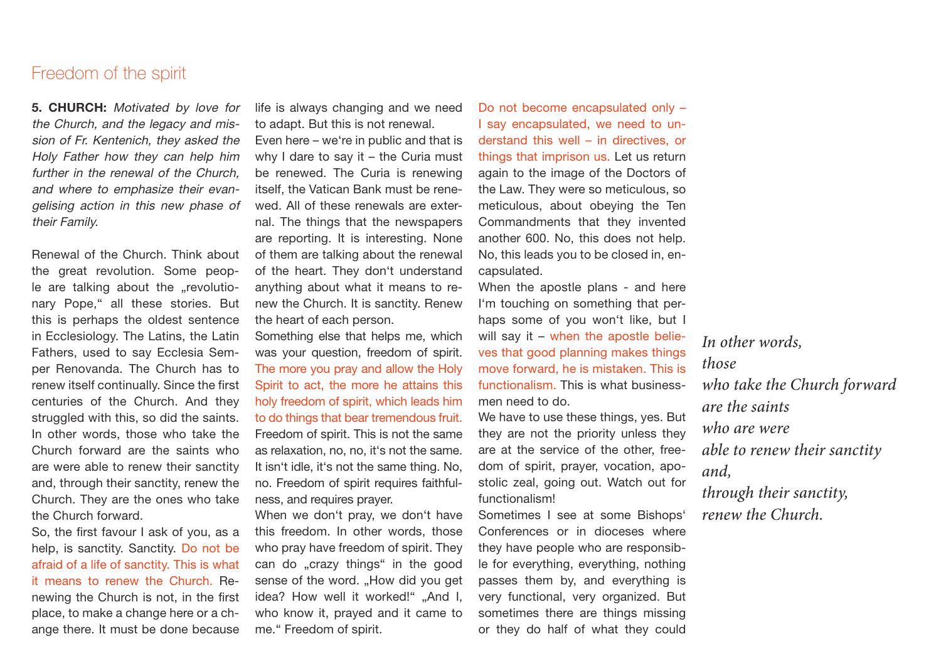### Freedom of the spirit

**5. CHURCH:** Motivated by love for the Church, and the legacy and mission of Fr. Kentenich, they asked the Holy Father how they can help him further in the renewal of the Church, and where to emphasize their evangelising action in this new phase of their Family.

Renewal of the Church. Think about the great revolution. Some people are talking about the "revolutionary Pope," all these stories. But this is perhaps the oldest sentence in Ecclesiology. The Latins, the Latin Fathers, used to say Ecclesia Semper Renovanda. The Church has to renew itself continually. Since the first centuries of the Church. And they struggled with this, so did the saints. In other words, those who take the Church forward are the saints who are were able to renew their sanctity and, through their sanctity, renew the Church. They are the ones who take the Church forward.

So, the first favour I ask of you, as a help, is sanctity. Sanctity. Do not be afraid of a life of sanctity. This is what it means to renew the Church. Renewing the Church is not, in the first place, to make a change here or a change there. It must be done because life is always changing and we need to adapt. But this is not renewal.

Even here – we're in public and that is why I dare to say it – the Curia must be renewed. The Curia is renewing itself, the Vatican Bank must be renewed. All of these renewals are external. The things that the newspapers are reporting. It is interesting. None of them are talking about the renewal of the heart. They don't understand anything about what it means to renew the Church. It is sanctity. Renew the heart of each person.

Something else that helps me, which was your question, freedom of spirit. The more you pray and allow the Holy Spirit to act, the more he attains this holy freedom of spirit, which leads him to do things that bear tremendous fruit. Freedom of spirit. This is not the same as relaxation, no, no, it's not the same. It isn't idle, it's not the same thing. No, no. Freedom of spirit requires faithfulness, and requires prayer.

When we don't pray, we don't have this freedom. In other words, those who pray have freedom of spirit. They can do "crazy things" in the good sense of the word. "How did you get idea? How well it worked!" ..And I. who know it, prayed and it came to me." Freedom of spirit.

Do not become encapsulated only – I say encapsulated, we need to understand this well – in directives, or things that imprison us. Let us return again to the image of the Doctors of the Law. They were so meticulous, so meticulous, about obeying the Ten Commandments that they invented another 600. No, this does not help. No, this leads you to be closed in, encapsulated.

When the apostle plans - and here I'm touching on something that perhaps some of you won't like, but I will say it – when the apostle believes that good planning makes things move forward, he is mistaken. This is functionalism. This is what businessmen need to do.

We have to use these things, yes. But they are not the priority unless they are at the service of the other, freedom of spirit, prayer, vocation, apostolic zeal, going out. Watch out for functionalism!

Sometimes I see at some Bishops' Conferences or in dioceses where they have people who are responsible for everything, everything, nothing passes them by, and everything is very functional, very organized. But sometimes there are things missing or they do half of what they could

*In other words, those who take the Church forward are the saints who are were able to renew their sanctity and, through their sanctity, renew the Church.*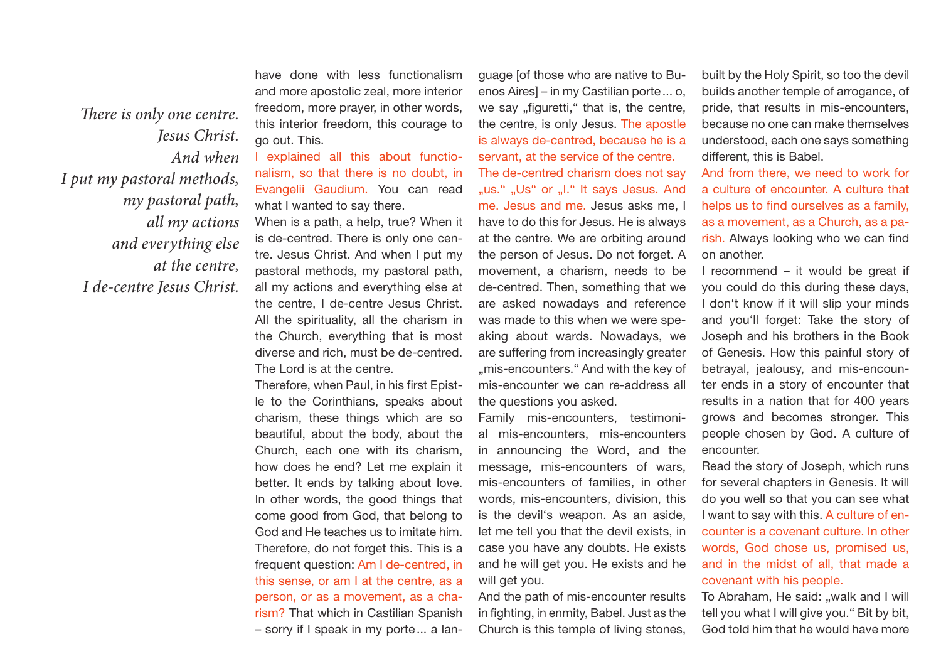*There is only one centre. Jesus Christ. And when I put my pastoral methods, my pastoral path, all my actions and everything else at the centre, I de-centre Jesus Christ.*

have done with less functionalism and more apostolic zeal, more interior freedom, more prayer, in other words, this interior freedom, this courage to go out. This.

I explained all this about functionalism, so that there is no doubt, in Evangelii Gaudium. You can read what I wanted to say there.

When is a path, a help, true? When it is de-centred. There is only one centre. Jesus Christ. And when I put my pastoral methods, my pastoral path, all my actions and everything else at the centre, I de-centre Jesus Christ. All the spirituality, all the charism in the Church, everything that is most diverse and rich, must be de-centred. The Lord is at the centre.

Therefore, when Paul, in his first Epistle to the Corinthians, speaks about charism, these things which are so beautiful, about the body, about the Church, each one with its charism, how does he end? Let me explain it better. It ends by talking about love. In other words, the good things that come good from God, that belong to God and He teaches us to imitate him. Therefore, do not forget this. This is a frequent question: Am I de-centred, in this sense, or am I at the centre, as a person, or as a movement, as a charism? That which in Castilian Spanish – sorry if I speak in my porte... a language [of those who are native to Buenos Aires] – in my Castilian porte... o, we say "figuretti," that is, the centre, the centre, is only Jesus. The apostle is always de-centred, because he is a servant, at the service of the centre. The de-centred charism does not say "us." "Us" or "I." It says Jesus. And me. Jesus and me. Jesus asks me, I have to do this for Jesus. He is always at the centre. We are orbiting around the person of Jesus. Do not forget. A movement, a charism, needs to be de-centred. Then, something that we are asked nowadays and reference was made to this when we were speaking about wards. Nowadays, we are suffering from increasingly greater ..mis-encounters." And with the key of mis-encounter we can re-address all the questions you asked.

Family mis-encounters, testimonial mis-encounters, mis-encounters in announcing the Word, and the message, mis-encounters of wars, mis-encounters of families, in other words, mis-encounters, division, this is the devil's weapon. As an aside, let me tell you that the devil exists, in case you have any doubts. He exists and he will get you. He exists and he will get you.

And the path of mis-encounter results in fighting, in enmity, Babel. Just as the Church is this temple of living stones,

built by the Holy Spirit, so too the devil builds another temple of arrogance, of pride, that results in mis-encounters, because no one can make themselves understood, each one says something different, this is Babel.

And from there, we need to work for a culture of encounter. A culture that helps us to find ourselves as a family, as a movement, as a Church, as a parish. Always looking who we can find on another.

I recommend – it would be great if you could do this during these days, I don't know if it will slip your minds and you'll forget: Take the story of Joseph and his brothers in the Book of Genesis. How this painful story of betrayal, jealousy, and mis-encounter ends in a story of encounter that results in a nation that for 400 years grows and becomes stronger. This people chosen by God. A culture of encounter.

Read the story of Joseph, which runs for several chapters in Genesis. It will do you well so that you can see what I want to say with this. A culture of encounter is a covenant culture. In other words, God chose us, promised us, and in the midst of all, that made a covenant with his people.

To Abraham, He said: "walk and I will tell you what I will give you." Bit by bit, God told him that he would have more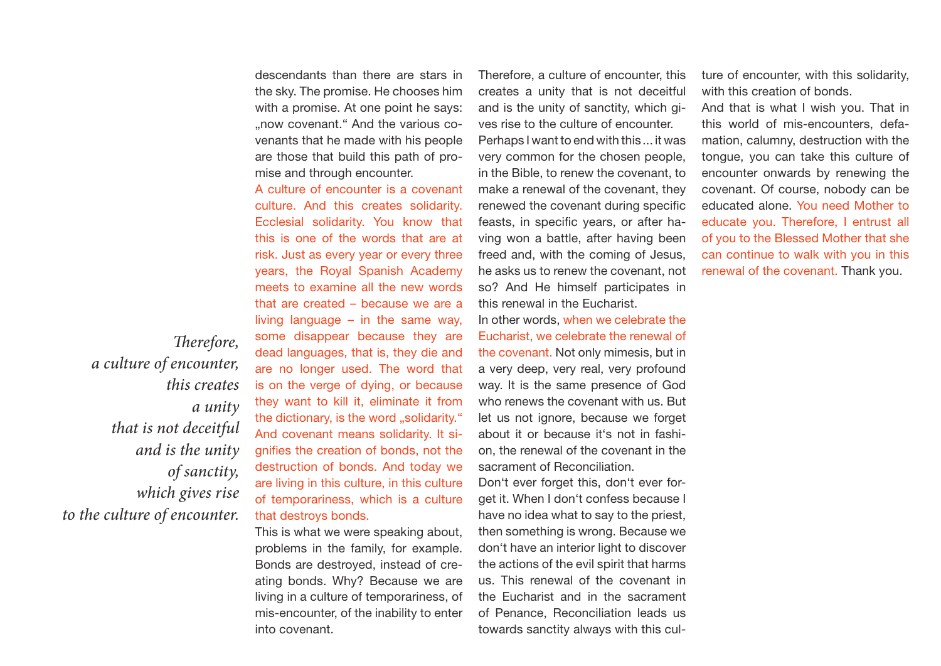descendants than there are stars in the sky. The promise. He chooses him with a promise. At one point he says: ..now covenant." And the various covenants that he made with his people are those that build this path of promise and through encounter.

A culture of encounter is a covenant culture. And this creates solidarity. Ecclesial solidarity. You know that this is one of the words that are at risk. Just as every year or every three years, the Royal Spanish Academy meets to examine all the new words that are created – because we are a living language  $-$  in the same way, some disappear because they are dead languages, that is, they die and are no longer used. The word that is on the verge of dying, or because they want to kill it, eliminate it from the dictionary, is the word ..solidarity." And covenant means solidarity. It signifies the creation of bonds, not the destruction of bonds. And today we are living in this culture, in this culture of temporariness, which is a culture that destroys bonds.

This is what we were speaking about, problems in the family, for example. Bonds are destroyed, instead of creating bonds. Why? Because we are living in a culture of temporariness, of mis-encounter, of the inability to enter into covenant.

Therefore, a culture of encounter, this creates a unity that is not deceitful and is the unity of sanctity, which gives rise to the culture of encounter. Perhaps I want to end with this ... it was very common for the chosen people, in the Bible, to renew the covenant, to make a renewal of the covenant, they renewed the covenant during specific feasts, in specific years, or after having won a battle, after having been freed and, with the coming of Jesus, he asks us to renew the covenant, not so? And He himself participates in this renewal in the Eucharist.

In other words, when we celebrate the Eucharist, we celebrate the renewal of the covenant. Not only mimesis, but in a very deep, very real, very profound way. It is the same presence of God who renews the covenant with us. But let us not ignore, because we forget about it or because it's not in fashion, the renewal of the covenant in the sacrament of Reconciliation.

Don't ever forget this, don't ever forget it. When I don't confess because I have no idea what to say to the priest, then something is wrong. Because we don't have an interior light to discover the actions of the evil spirit that harms us. This renewal of the covenant in the Eucharist and in the sacrament of Penance, Reconciliation leads us towards sanctity always with this culture of encounter, with this solidarity, with this creation of bonds.

And that is what I wish you. That in this world of mis-encounters, defamation, calumny, destruction with the tongue, you can take this culture of encounter onwards by renewing the covenant. Of course, nobody can be educated alone. You need Mother to educate you. Therefore, I entrust all of you to the Blessed Mother that she can continue to walk with you in this renewal of the covenant. Thank you.

*Therefore, a culture of encounter, this creates a unity that is not deceitful and is the unity of sanctity, which gives rise to the culture of encounter.*